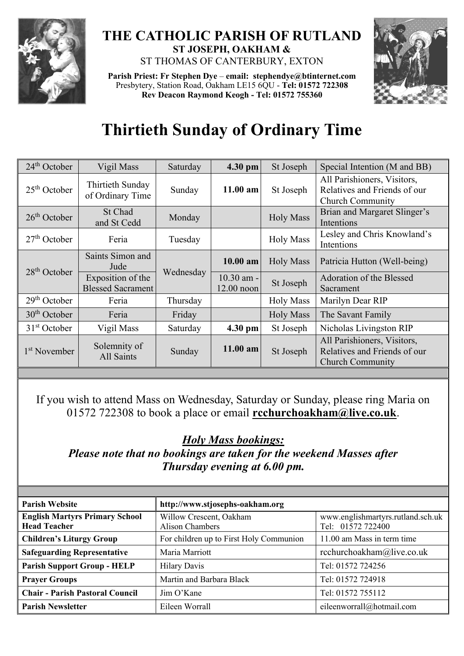

## **THE CATHOLIC PARISH OF RUTLAND ST JOSEPH, OAKHAM &**  ST THOMAS OF CANTERBURY, EXTON

**Parish Priest: Fr Stephen Dye** – **[email: stephendye@btinternet.com](mailto:email:%20%20stephendye@btinternet.com)** Presbytery, Station Road, Oakham LE15 6QU - **Tel: 01572 722308 Rev Deacon Raymond Keogh - Tel: 01572 755360**



## **Thirtieth Sunday of Ordinary Time**

| $24th$ October           | Vigil Mass                                    | Saturday  | 4.30 pm                    | St Joseph        | Special Intention (M and BB)                                                           |
|--------------------------|-----------------------------------------------|-----------|----------------------------|------------------|----------------------------------------------------------------------------------------|
| $25th$ October           | Thirtieth Sunday<br>of Ordinary Time          | Sunday    | $11.00$ am                 | St Joseph        | All Parishioners, Visitors,<br>Relatives and Friends of our<br><b>Church Community</b> |
| $26th$ October           | St Chad<br>and St Cedd                        | Monday    |                            | <b>Holy Mass</b> | Brian and Margaret Slinger's<br>Intentions                                             |
| $27th$ October           | Feria                                         | Tuesday   |                            | <b>Holy Mass</b> | Lesley and Chris Knowland's<br>Intentions                                              |
| $28th$ October           | Saints Simon and<br>Jude                      | Wednesday | 10.00 am                   | <b>Holy Mass</b> | Patricia Hutton (Well-being)                                                           |
|                          | Exposition of the<br><b>Blessed Sacrament</b> |           | $10.30$ am -<br>12.00 noon | St Joseph        | Adoration of the Blessed<br>Sacrament                                                  |
| $29th$ October           | Feria                                         | Thursday  |                            | <b>Holy Mass</b> | Marilyn Dear RIP                                                                       |
| $30th$ October           | Feria                                         | Friday    |                            | <b>Holy Mass</b> | The Savant Family                                                                      |
| $31st$ October           | Vigil Mass                                    | Saturday  | 4.30 pm                    | St Joseph        | Nicholas Livingston RIP                                                                |
| 1 <sup>st</sup> November | Solemnity of<br>All Saints                    | Sunday    | $11.00$ am                 | St Joseph        | All Parishioners, Visitors,<br>Relatives and Friends of our<br><b>Church Community</b> |

If you wish to attend Mass on Wednesday, Saturday or Sunday, please ring Maria on 01572 722308 to book a place or email **[rcchurchoakham@live.co.uk](mailto:rcchurchoakham@live.co.uk)**.

*Holy Mass bookings:*

*Please note that no bookings are taken for the weekend Masses after Thursday evening at 6.00 pm.*

| <b>Parish Website</b>                                        | http://www.stjosephs-oakham.org                   |                                                        |  |
|--------------------------------------------------------------|---------------------------------------------------|--------------------------------------------------------|--|
| <b>English Martyrs Primary School</b><br><b>Head Teacher</b> | Willow Crescent, Oakham<br><b>Alison Chambers</b> | www.englishmartyrs.rutland.sch.uk<br>Tel: 01572 722400 |  |
| <b>Children's Liturgy Group</b>                              | For children up to First Holy Communion           | 11.00 am Mass in term time                             |  |
| <b>Safeguarding Representative</b>                           | Maria Marriott                                    | rcchurchoakham@live.co.uk                              |  |
| <b>Parish Support Group - HELP</b>                           | <b>Hilary Davis</b>                               | Tel: 01572 724256                                      |  |
| <b>Prayer Groups</b>                                         | Martin and Barbara Black                          | Tel: 01572 724918                                      |  |
| <b>Chair - Parish Pastoral Council</b>                       | Jim O'Kane                                        | Tel: 01572 755112                                      |  |
| <b>Parish Newsletter</b>                                     | Eileen Worrall                                    | eileenworrall@hotmail.com                              |  |